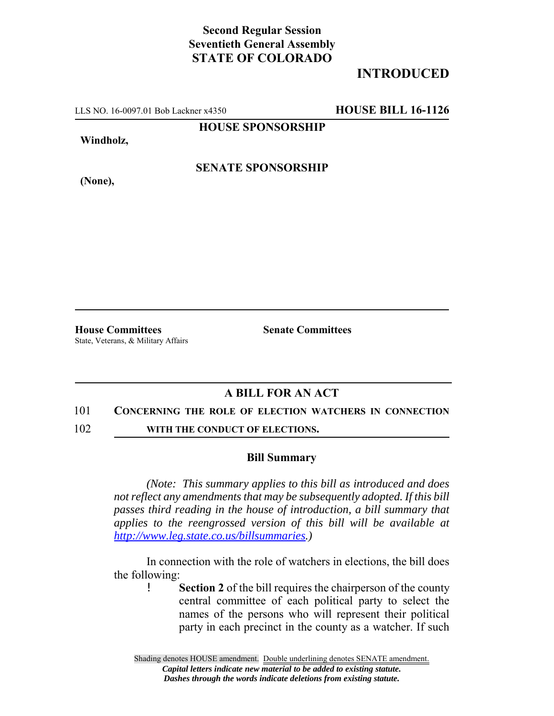## **Second Regular Session Seventieth General Assembly STATE OF COLORADO**

# **INTRODUCED**

LLS NO. 16-0097.01 Bob Lackner x4350 **HOUSE BILL 16-1126**

**HOUSE SPONSORSHIP**

**Windholz,**

**(None),**

**SENATE SPONSORSHIP**

**House Committees Senate Committees** State, Veterans, & Military Affairs

### **A BILL FOR AN ACT**

#### 101 **CONCERNING THE ROLE OF ELECTION WATCHERS IN CONNECTION**

102 **WITH THE CONDUCT OF ELECTIONS.** 

### **Bill Summary**

*(Note: This summary applies to this bill as introduced and does not reflect any amendments that may be subsequently adopted. If this bill passes third reading in the house of introduction, a bill summary that applies to the reengrossed version of this bill will be available at http://www.leg.state.co.us/billsummaries.)*

In connection with the role of watchers in elections, the bill does the following:

> ! **Section 2** of the bill requires the chairperson of the county central committee of each political party to select the names of the persons who will represent their political party in each precinct in the county as a watcher. If such

Shading denotes HOUSE amendment. Double underlining denotes SENATE amendment. *Capital letters indicate new material to be added to existing statute. Dashes through the words indicate deletions from existing statute.*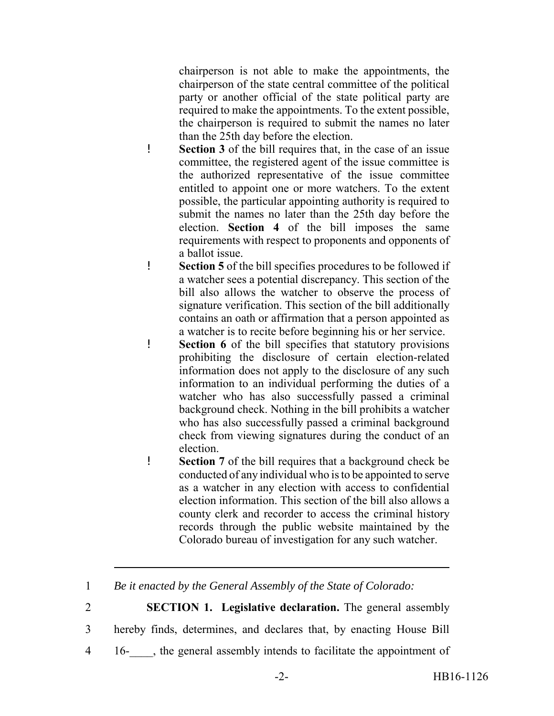chairperson is not able to make the appointments, the chairperson of the state central committee of the political party or another official of the state political party are required to make the appointments. To the extent possible, the chairperson is required to submit the names no later than the 25th day before the election.

- ! **Section 3** of the bill requires that, in the case of an issue committee, the registered agent of the issue committee is the authorized representative of the issue committee entitled to appoint one or more watchers. To the extent possible, the particular appointing authority is required to submit the names no later than the 25th day before the election. **Section 4** of the bill imposes the same requirements with respect to proponents and opponents of a ballot issue.
- ! **Section 5** of the bill specifies procedures to be followed if a watcher sees a potential discrepancy. This section of the bill also allows the watcher to observe the process of signature verification. This section of the bill additionally contains an oath or affirmation that a person appointed as a watcher is to recite before beginning his or her service.
- ! **Section 6** of the bill specifies that statutory provisions prohibiting the disclosure of certain election-related information does not apply to the disclosure of any such information to an individual performing the duties of a watcher who has also successfully passed a criminal background check. Nothing in the bill prohibits a watcher who has also successfully passed a criminal background check from viewing signatures during the conduct of an election.
- ! **Section 7** of the bill requires that a background check be conducted of any individual who is to be appointed to serve as a watcher in any election with access to confidential election information. This section of the bill also allows a county clerk and recorder to access the criminal history records through the public website maintained by the Colorado bureau of investigation for any such watcher.
- 1 *Be it enacted by the General Assembly of the State of Colorado:*
- 2 **SECTION 1. Legislative declaration.** The general assembly
- 3 hereby finds, determines, and declares that, by enacting House Bill
- 4 16-\_\_\_\_, the general assembly intends to facilitate the appointment of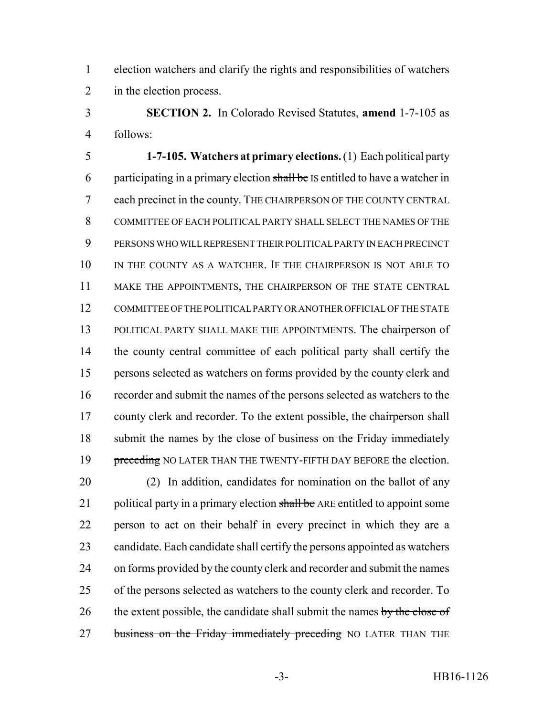election watchers and clarify the rights and responsibilities of watchers in the election process.

 **SECTION 2.** In Colorado Revised Statutes, **amend** 1-7-105 as follows:

 **1-7-105. Watchers at primary elections.** (1) Each political party 6 participating in a primary election shall be IS entitled to have a watcher in each precinct in the county. THE CHAIRPERSON OF THE COUNTY CENTRAL COMMITTEE OF EACH POLITICAL PARTY SHALL SELECT THE NAMES OF THE PERSONS WHO WILL REPRESENT THEIR POLITICAL PARTY IN EACH PRECINCT 10 IN THE COUNTY AS A WATCHER. IF THE CHAIRPERSON IS NOT ABLE TO MAKE THE APPOINTMENTS, THE CHAIRPERSON OF THE STATE CENTRAL COMMITTEE OF THE POLITICAL PARTY OR ANOTHER OFFICIAL OF THE STATE POLITICAL PARTY SHALL MAKE THE APPOINTMENTS. The chairperson of the county central committee of each political party shall certify the persons selected as watchers on forms provided by the county clerk and recorder and submit the names of the persons selected as watchers to the county clerk and recorder. To the extent possible, the chairperson shall 18 submit the names by the close of business on the Friday immediately 19 preceding NO LATER THAN THE TWENTY-FIFTH DAY BEFORE the election.

 (2) In addition, candidates for nomination on the ballot of any 21 political party in a primary election shall be ARE entitled to appoint some person to act on their behalf in every precinct in which they are a candidate. Each candidate shall certify the persons appointed as watchers on forms provided by the county clerk and recorder and submit the names of the persons selected as watchers to the county clerk and recorder. To 26 the extent possible, the candidate shall submit the names by the close of 27 business on the Friday immediately preceding NO LATER THAN THE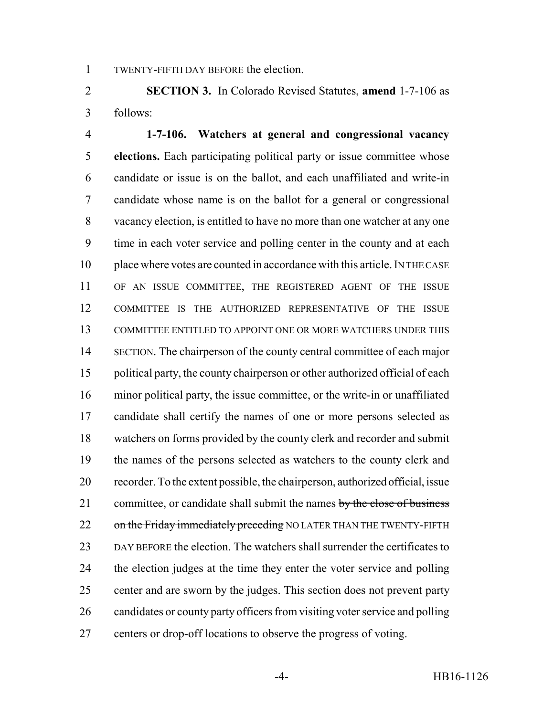TWENTY-FIFTH DAY BEFORE the election.

 **SECTION 3.** In Colorado Revised Statutes, **amend** 1-7-106 as follows:

 **1-7-106. Watchers at general and congressional vacancy elections.** Each participating political party or issue committee whose candidate or issue is on the ballot, and each unaffiliated and write-in candidate whose name is on the ballot for a general or congressional vacancy election, is entitled to have no more than one watcher at any one time in each voter service and polling center in the county and at each place where votes are counted in accordance with this article. IN THE CASE OF AN ISSUE COMMITTEE, THE REGISTERED AGENT OF THE ISSUE COMMITTEE IS THE AUTHORIZED REPRESENTATIVE OF THE ISSUE COMMITTEE ENTITLED TO APPOINT ONE OR MORE WATCHERS UNDER THIS SECTION. The chairperson of the county central committee of each major political party, the county chairperson or other authorized official of each minor political party, the issue committee, or the write-in or unaffiliated candidate shall certify the names of one or more persons selected as watchers on forms provided by the county clerk and recorder and submit the names of the persons selected as watchers to the county clerk and recorder. To the extent possible, the chairperson, authorized official, issue 21 committee, or candidate shall submit the names by the close of business 22 on the Friday immediately preceding NO LATER THAN THE TWENTY-FIFTH DAY BEFORE the election. The watchers shall surrender the certificates to the election judges at the time they enter the voter service and polling center and are sworn by the judges. This section does not prevent party candidates or county party officers from visiting voter service and polling centers or drop-off locations to observe the progress of voting.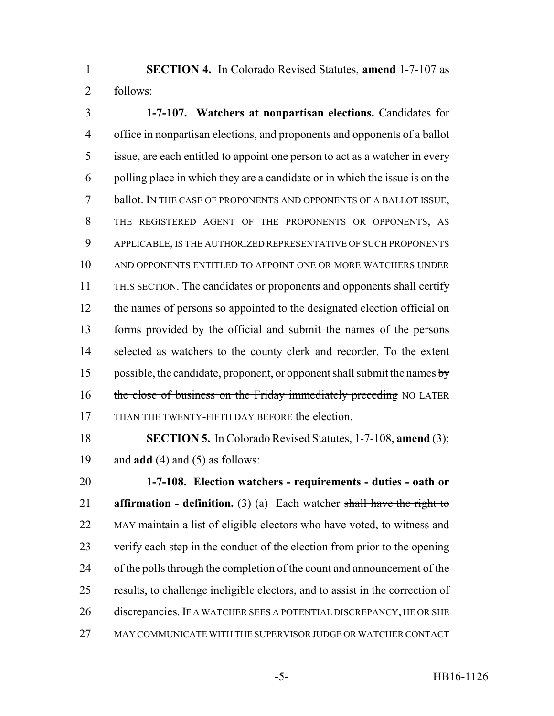**SECTION 4.** In Colorado Revised Statutes, **amend** 1-7-107 as follows:

 **1-7-107. Watchers at nonpartisan elections.** Candidates for office in nonpartisan elections, and proponents and opponents of a ballot issue, are each entitled to appoint one person to act as a watcher in every polling place in which they are a candidate or in which the issue is on the ballot. IN THE CASE OF PROPONENTS AND OPPONENTS OF A BALLOT ISSUE, THE REGISTERED AGENT OF THE PROPONENTS OR OPPONENTS, AS APPLICABLE, IS THE AUTHORIZED REPRESENTATIVE OF SUCH PROPONENTS AND OPPONENTS ENTITLED TO APPOINT ONE OR MORE WATCHERS UNDER THIS SECTION. The candidates or proponents and opponents shall certify 12 the names of persons so appointed to the designated election official on forms provided by the official and submit the names of the persons selected as watchers to the county clerk and recorder. To the extent 15 possible, the candidate, proponent, or opponent shall submit the names  $b$ y 16 the close of business on the Friday immediately preceding NO LATER THAN THE TWENTY-FIFTH DAY BEFORE the election.

 **SECTION 5.** In Colorado Revised Statutes, 1-7-108, **amend** (3); and **add** (4) and (5) as follows:

 **1-7-108. Election watchers - requirements - duties - oath or affirmation - definition.** (3) (a) Each watcher shall have the right to 22 MAY maintain a list of eligible electors who have voted, to witness and verify each step in the conduct of the election from prior to the opening of the polls through the completion of the count and announcement of the 25 results, to challenge ineligible electors, and to assist in the correction of 26 discrepancies. IF A WATCHER SEES A POTENTIAL DISCREPANCY, HE OR SHE MAY COMMUNICATE WITH THE SUPERVISOR JUDGE OR WATCHER CONTACT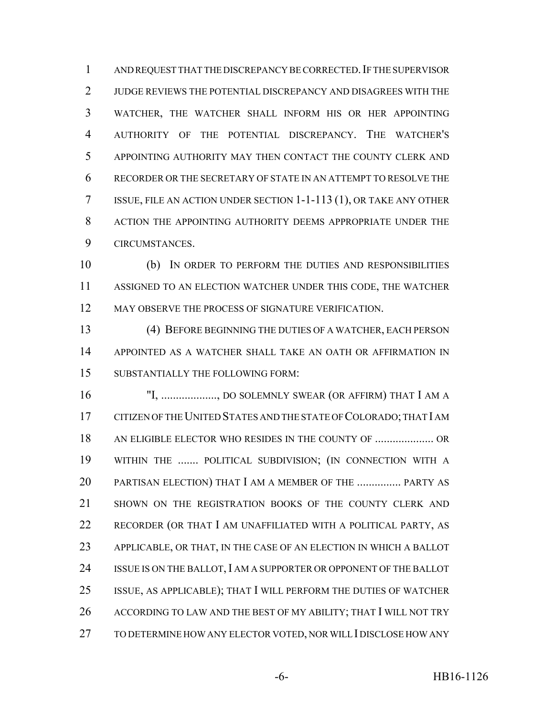1 AND REQUEST THAT THE DISCREPANCY BE CORRECTED. IF THE SUPERVISOR JUDGE REVIEWS THE POTENTIAL DISCREPANCY AND DISAGREES WITH THE WATCHER, THE WATCHER SHALL INFORM HIS OR HER APPOINTING AUTHORITY OF THE POTENTIAL DISCREPANCY. THE WATCHER'S APPOINTING AUTHORITY MAY THEN CONTACT THE COUNTY CLERK AND RECORDER OR THE SECRETARY OF STATE IN AN ATTEMPT TO RESOLVE THE ISSUE, FILE AN ACTION UNDER SECTION 1-1-113 (1), OR TAKE ANY OTHER 8 ACTION THE APPOINTING AUTHORITY DEEMS APPROPRIATE UNDER THE CIRCUMSTANCES.

 (b) IN ORDER TO PERFORM THE DUTIES AND RESPONSIBILITIES ASSIGNED TO AN ELECTION WATCHER UNDER THIS CODE, THE WATCHER 12 MAY OBSERVE THE PROCESS OF SIGNATURE VERIFICATION.

 (4) BEFORE BEGINNING THE DUTIES OF A WATCHER, EACH PERSON APPOINTED AS A WATCHER SHALL TAKE AN OATH OR AFFIRMATION IN SUBSTANTIALLY THE FOLLOWING FORM:

16 "I, .................., DO SOLEMNLY SWEAR (OR AFFIRM) THAT I AM A CITIZEN OF THE UNITED STATES AND THE STATE OF COLORADO; THAT I AM AN ELIGIBLE ELECTOR WHO RESIDES IN THE COUNTY OF .................... OR WITHIN THE ....... POLITICAL SUBDIVISION; (IN CONNECTION WITH A PARTISAN ELECTION) THAT I AM A MEMBER OF THE ............... PARTY AS SHOWN ON THE REGISTRATION BOOKS OF THE COUNTY CLERK AND RECORDER (OR THAT I AM UNAFFILIATED WITH A POLITICAL PARTY, AS APPLICABLE, OR THAT, IN THE CASE OF AN ELECTION IN WHICH A BALLOT 24 ISSUE IS ON THE BALLOT, I AM A SUPPORTER OR OPPONENT OF THE BALLOT ISSUE, AS APPLICABLE); THAT I WILL PERFORM THE DUTIES OF WATCHER 26 ACCORDING TO LAW AND THE BEST OF MY ABILITY; THAT I WILL NOT TRY TO DETERMINE HOW ANY ELECTOR VOTED, NOR WILL I DISCLOSE HOW ANY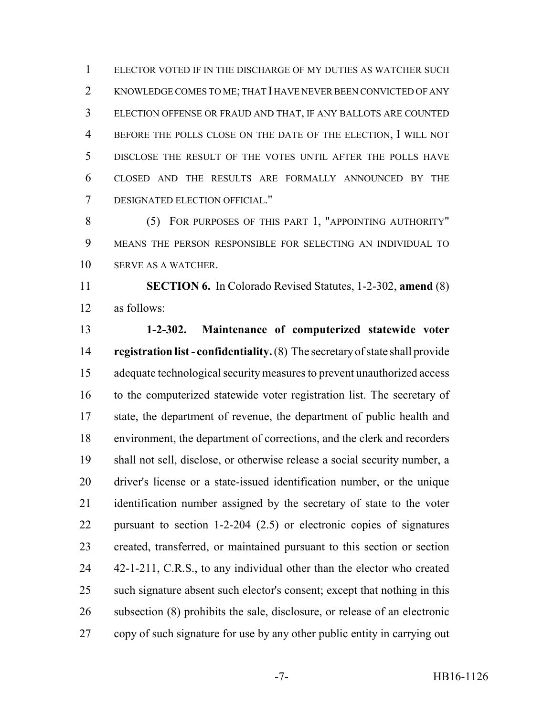ELECTOR VOTED IF IN THE DISCHARGE OF MY DUTIES AS WATCHER SUCH KNOWLEDGE COMES TO ME; THAT I HAVE NEVER BEEN CONVICTED OF ANY ELECTION OFFENSE OR FRAUD AND THAT, IF ANY BALLOTS ARE COUNTED BEFORE THE POLLS CLOSE ON THE DATE OF THE ELECTION, I WILL NOT DISCLOSE THE RESULT OF THE VOTES UNTIL AFTER THE POLLS HAVE CLOSED AND THE RESULTS ARE FORMALLY ANNOUNCED BY THE DESIGNATED ELECTION OFFICIAL."

8 (5) FOR PURPOSES OF THIS PART 1, "APPOINTING AUTHORITY" MEANS THE PERSON RESPONSIBLE FOR SELECTING AN INDIVIDUAL TO SERVE AS A WATCHER.

 **SECTION 6.** In Colorado Revised Statutes, 1-2-302, **amend** (8) as follows:

 **1-2-302. Maintenance of computerized statewide voter registration list - confidentiality.** (8) The secretary of state shall provide adequate technological security measures to prevent unauthorized access to the computerized statewide voter registration list. The secretary of state, the department of revenue, the department of public health and environment, the department of corrections, and the clerk and recorders shall not sell, disclose, or otherwise release a social security number, a driver's license or a state-issued identification number, or the unique identification number assigned by the secretary of state to the voter pursuant to section 1-2-204 (2.5) or electronic copies of signatures created, transferred, or maintained pursuant to this section or section 24 42-1-211, C.R.S., to any individual other than the elector who created such signature absent such elector's consent; except that nothing in this subsection (8) prohibits the sale, disclosure, or release of an electronic copy of such signature for use by any other public entity in carrying out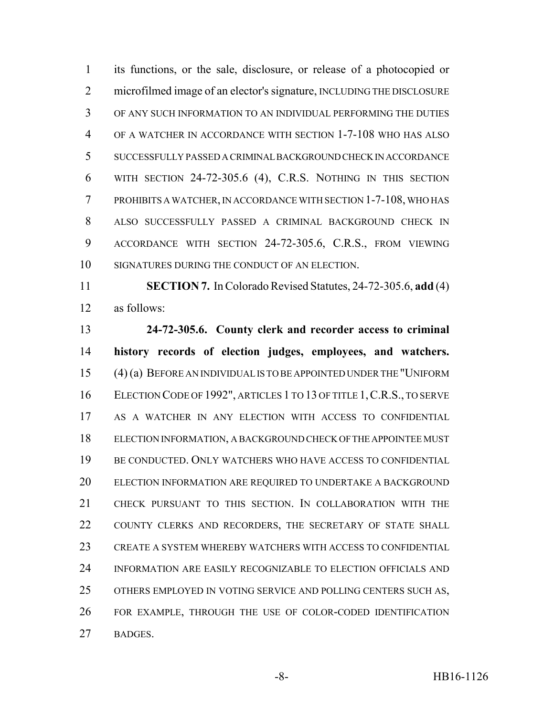its functions, or the sale, disclosure, or release of a photocopied or microfilmed image of an elector's signature, INCLUDING THE DISCLOSURE OF ANY SUCH INFORMATION TO AN INDIVIDUAL PERFORMING THE DUTIES OF A WATCHER IN ACCORDANCE WITH SECTION 1-7-108 WHO HAS ALSO SUCCESSFULLY PASSED A CRIMINAL BACKGROUND CHECK IN ACCORDANCE WITH SECTION 24-72-305.6 (4), C.R.S. NOTHING IN THIS SECTION PROHIBITS A WATCHER, IN ACCORDANCE WITH SECTION 1-7-108, WHO HAS ALSO SUCCESSFULLY PASSED A CRIMINAL BACKGROUND CHECK IN ACCORDANCE WITH SECTION 24-72-305.6, C.R.S., FROM VIEWING SIGNATURES DURING THE CONDUCT OF AN ELECTION.

 **SECTION 7.** In Colorado Revised Statutes, 24-72-305.6, **add** (4) as follows:

 **24-72-305.6. County clerk and recorder access to criminal history records of election judges, employees, and watchers.** (4) (a) BEFORE AN INDIVIDUAL IS TO BE APPOINTED UNDER THE "UNIFORM ELECTION CODE OF 1992", ARTICLES 1 TO 13 OF TITLE 1,C.R.S., TO SERVE AS A WATCHER IN ANY ELECTION WITH ACCESS TO CONFIDENTIAL ELECTION INFORMATION, A BACKGROUND CHECK OF THE APPOINTEE MUST BE CONDUCTED. ONLY WATCHERS WHO HAVE ACCESS TO CONFIDENTIAL 20 ELECTION INFORMATION ARE REQUIRED TO UNDERTAKE A BACKGROUND CHECK PURSUANT TO THIS SECTION. IN COLLABORATION WITH THE 22 COUNTY CLERKS AND RECORDERS, THE SECRETARY OF STATE SHALL CREATE A SYSTEM WHEREBY WATCHERS WITH ACCESS TO CONFIDENTIAL INFORMATION ARE EASILY RECOGNIZABLE TO ELECTION OFFICIALS AND OTHERS EMPLOYED IN VOTING SERVICE AND POLLING CENTERS SUCH AS, FOR EXAMPLE, THROUGH THE USE OF COLOR-CODED IDENTIFICATION BADGES.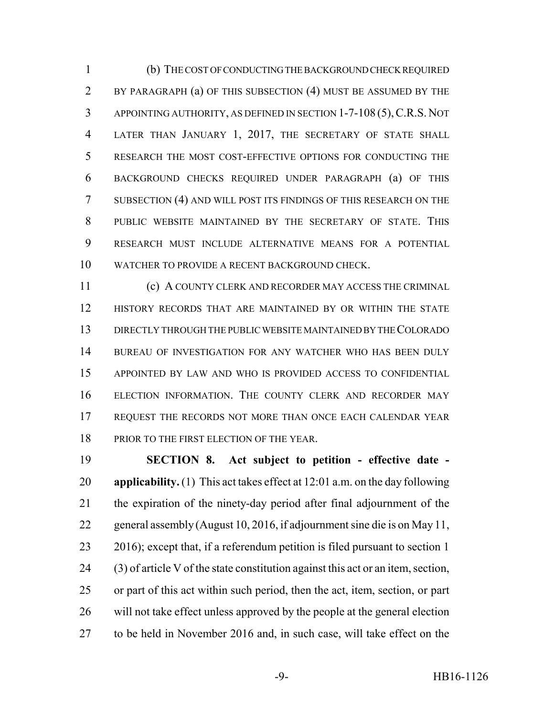(b) THE COST OF CONDUCTING THE BACKGROUND CHECK REQUIRED BY PARAGRAPH (a) OF THIS SUBSECTION (4) MUST BE ASSUMED BY THE APPOINTING AUTHORITY, AS DEFINED IN SECTION 1-7-108 (5),C.R.S. NOT LATER THAN JANUARY 1, 2017, THE SECRETARY OF STATE SHALL RESEARCH THE MOST COST-EFFECTIVE OPTIONS FOR CONDUCTING THE BACKGROUND CHECKS REQUIRED UNDER PARAGRAPH (a) OF THIS SUBSECTION (4) AND WILL POST ITS FINDINGS OF THIS RESEARCH ON THE PUBLIC WEBSITE MAINTAINED BY THE SECRETARY OF STATE. THIS RESEARCH MUST INCLUDE ALTERNATIVE MEANS FOR A POTENTIAL WATCHER TO PROVIDE A RECENT BACKGROUND CHECK.

 (c) A COUNTY CLERK AND RECORDER MAY ACCESS THE CRIMINAL HISTORY RECORDS THAT ARE MAINTAINED BY OR WITHIN THE STATE DIRECTLY THROUGH THE PUBLIC WEBSITE MAINTAINED BY THE COLORADO BUREAU OF INVESTIGATION FOR ANY WATCHER WHO HAS BEEN DULY APPOINTED BY LAW AND WHO IS PROVIDED ACCESS TO CONFIDENTIAL ELECTION INFORMATION. THE COUNTY CLERK AND RECORDER MAY 17 REQUEST THE RECORDS NOT MORE THAN ONCE EACH CALENDAR YEAR 18 PRIOR TO THE FIRST ELECTION OF THE YEAR.

 **SECTION 8. Act subject to petition - effective date - applicability.** (1) This act takes effect at 12:01 a.m. on the day following the expiration of the ninety-day period after final adjournment of the general assembly (August 10, 2016, if adjournment sine die is on May 11, 2016); except that, if a referendum petition is filed pursuant to section 1 (3) of article V of the state constitution against this act or an item, section, or part of this act within such period, then the act, item, section, or part will not take effect unless approved by the people at the general election to be held in November 2016 and, in such case, will take effect on the